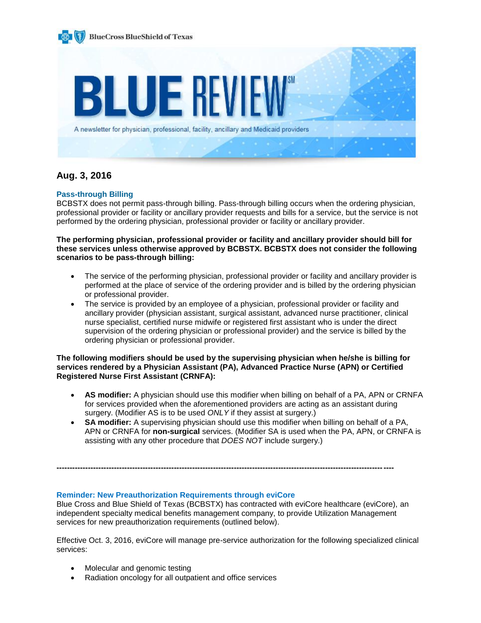

# **Aug. 3, 2016**

# **Pass-through Billing**

BCBSTX does not permit pass-through billing. Pass-through billing occurs when the ordering physician, professional provider or facility or ancillary provider requests and bills for a service, but the service is not performed by the ordering physician, professional provider or facility or ancillary provider.

**The performing physician, professional provider or facility and ancillary provider should bill for these services unless otherwise approved by BCBSTX. BCBSTX does not consider the following scenarios to be pass-through billing:**

- The service of the performing physician, professional provider or facility and ancillary provider is performed at the place of service of the ordering provider and is billed by the ordering physician or professional provider.
- The service is provided by an employee of a physician, professional provider or facility and ancillary provider (physician assistant, surgical assistant, advanced nurse practitioner, clinical nurse specialist, certified nurse midwife or registered first assistant who is under the direct supervision of the ordering physician or professional provider) and the service is billed by the ordering physician or professional provider.

**The following modifiers should be used by the supervising physician when he/she is billing for services rendered by a Physician Assistant (PA), Advanced Practice Nurse (APN) or Certified Registered Nurse First Assistant (CRNFA):**

- **AS modifier:** A physician should use this modifier when billing on behalf of a PA, APN or CRNFA for services provided when the aforementioned providers are acting as an assistant during surgery. (Modifier AS is to be used *ONLY* if they assist at surgery.)
- **SA modifier:** A supervising physician should use this modifier when billing on behalf of a PA, APN or CRNFA for **non-surgical** services. (Modifier SA is used when the PA, APN, or CRNFA is assisting with any other procedure that *DOES NOT* include surgery.)

# **Reminder: New Preauthorization Requirements through eviCore**

Blue Cross and Blue Shield of Texas (BCBSTX) has contracted with eviCore healthcare (eviCore), an independent specialty medical benefits management company, to provide Utilization Management services for new preauthorization requirements (outlined below).

**---------------------------------------------------------------------------------------------------------------------------------**

Effective Oct. 3, 2016, eviCore will manage pre-service authorization for the following specialized clinical services:

- Molecular and genomic testing
- Radiation oncology for all outpatient and office services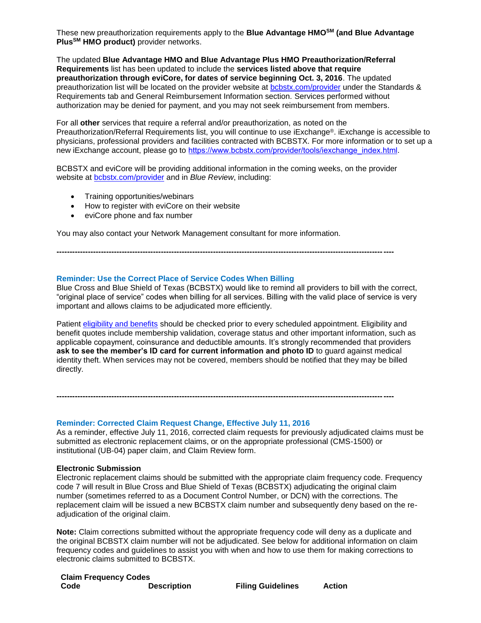These new preauthorization requirements apply to the **Blue Advantage HMOSM (and Blue Advantage PlusSM HMO product)** provider networks.

The updated **Blue Advantage HMO and Blue Advantage Plus HMO Preauthorization/Referral Requirements** list has been updated to include the **services listed above that require preauthorization through eviCore, for dates of service beginning Oct. 3, 2016**. The updated preauthorization list will be located on the provider website at [bcbstx.com/provider](http://www.bcbstx.com/provider/gri/index.html) under the Standards & Requirements tab and General Reimbursement Information section. Services performed without authorization may be denied for payment, and you may not seek reimbursement from members.

For all **other** services that require a referral and/or preauthorization, as noted on the Preauthorization/Referral Requirements list, you will continue to use iExchange®. iExchange is accessible to physicians, professional providers and facilities contracted with BCBSTX. For more information or to set up a new iExchange account, please go to https://www.bcbstx.com/provider/tools/iexchange\_index.html.

BCBSTX and eviCore will be providing additional information in the coming weeks, on the provider website at [bcbstx.com/provider](https://www.bcbstx.com/provider/) and in *Blue Review*, including:

**---------------------------------------------------------------------------------------------------------------------------------**

- Training opportunities/webinars
- How to register with eviCore on their website
- eviCore phone and fax number

You may also contact your Network Management consultant for more information.

### **Reminder: Use the Correct Place of Service Codes When Billing**

Blue Cross and Blue Shield of Texas (BCBSTX) would like to remind all providers to bill with the correct, "original place of service" codes when billing for all services. Billing with the valid place of service is very important and allows claims to be adjudicated more efficiently.

Patient [eligibility and benefits](https://www.bcbstx.com/provider/claims/eligibility_and_benefits.html) should be checked prior to every scheduled appointment. Eligibility and benefit quotes include membership validation, coverage status and other important information, such as applicable copayment, coinsurance and deductible amounts. It's strongly recommended that providers **ask to see the member's ID card for current information and photo ID** to guard against medical identity theft. When services may not be covered, members should be notified that they may be billed directly.

**---------------------------------------------------------------------------------------------------------------------------------**

#### **Reminder: Corrected Claim Request Change, Effective July 11, 2016**

As a reminder, effective July 11, 2016, corrected claim requests for previously adjudicated claims must be submitted as electronic replacement claims, or on the appropriate professional (CMS-1500) or institutional (UB-04) paper claim, and Claim Review form.

#### **Electronic Submission**

Electronic replacement claims should be submitted with the appropriate claim frequency code. Frequency code 7 will result in Blue Cross and Blue Shield of Texas (BCBSTX) adjudicating the original claim number (sometimes referred to as a Document Control Number, or DCN) with the corrections. The replacement claim will be issued a new BCBSTX claim number and subsequently deny based on the readjudication of the original claim.

**Note:** Claim corrections submitted without the appropriate frequency code will deny as a duplicate and the original BCBSTX claim number will not be adjudicated. See below for additional information on claim frequency codes and guidelines to assist you with when and how to use them for making corrections to electronic claims submitted to BCBSTX.

| <b>Claim Frequency Codes</b> |                    |                          |               |
|------------------------------|--------------------|--------------------------|---------------|
| Code                         | <b>Description</b> | <b>Filing Guidelines</b> | <b>Action</b> |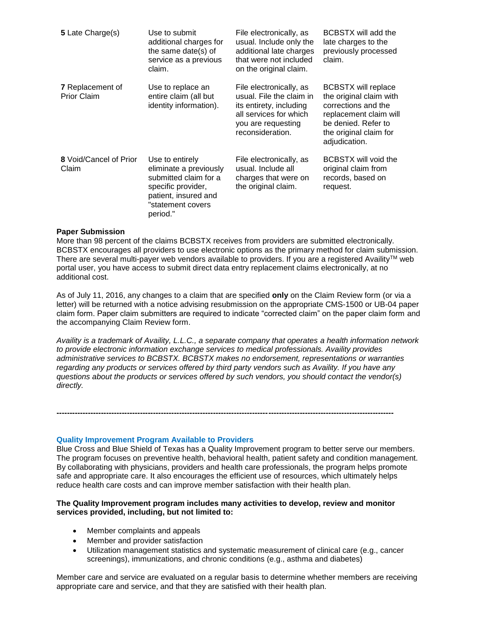| 5 Late Charge(s)                              | Use to submit<br>additional charges for<br>the same date(s) of<br>service as a previous<br>claim.                                                 | File electronically, as<br>usual. Include only the<br>additional late charges<br>that were not included<br>on the original claim.                  | BCBSTX will add the<br>late charges to the<br>previously processed<br>claim.                                                                                             |
|-----------------------------------------------|---------------------------------------------------------------------------------------------------------------------------------------------------|----------------------------------------------------------------------------------------------------------------------------------------------------|--------------------------------------------------------------------------------------------------------------------------------------------------------------------------|
| <b>7</b> Replacement of<br><b>Prior Claim</b> | Use to replace an<br>entire claim (all but<br>identity information).                                                                              | File electronically, as<br>usual. File the claim in<br>its entirety, including<br>all services for which<br>you are requesting<br>reconsideration. | <b>BCBSTX will replace</b><br>the original claim with<br>corrections and the<br>replacement claim will<br>be denied. Refer to<br>the original claim for<br>adjudication. |
| 8 Void/Cancel of Prior<br>Claim               | Use to entirely<br>eliminate a previously<br>submitted claim for a<br>specific provider,<br>patient, insured and<br>"statement covers<br>period." | File electronically, as<br>usual. Include all<br>charges that were on<br>the original claim.                                                       | BCBSTX will void the<br>original claim from<br>records, based on<br>request.                                                                                             |

#### **Paper Submission**

More than 98 percent of the claims BCBSTX receives from providers are submitted electronically. BCBSTX encourages all providers to use electronic options as the primary method for claim submission. There are several multi-payer web vendors available to providers. If you are a registered Availity™ web portal user, you have access to submit direct data entry replacement claims electronically, at no additional cost.

As of July 11, 2016, any changes to a claim that are specified **only** on the Claim Review form (or via a letter) will be returned with a notice advising resubmission on the appropriate CMS-1500 or UB-04 paper claim form. Paper claim submitters are required to indicate "corrected claim" on the paper claim form and the accompanying Claim Review form.

*Availity is a trademark of Availity, L.L.C., a separate company that operates a health information network to provide electronic information exchange services to medical professionals. Availity provides administrative services to BCBSTX. BCBSTX makes no endorsement, representations or warranties regarding any products or services offered by third party vendors such as Availity. If you have any questions about the products or services offered by such vendors, you should contact the vendor(s) directly.*

### **Quality Improvement Program Available to Providers**

Blue Cross and Blue Shield of Texas has a Quality Improvement program to better serve our members. The program focuses on preventive health, behavioral health, patient safety and condition management. By collaborating with physicians, providers and health care professionals, the program helps promote safe and appropriate care. It also encourages the efficient use of resources, which ultimately helps reduce health care costs and can improve member satisfaction with their health plan.

#### **The Quality Improvement program includes many activities to develop, review and monitor services provided, including, but not limited to:**

**---------------------------------------------------------------------------------------------------------------------------------**

- Member complaints and appeals
- Member and provider satisfaction
- Utilization management statistics and systematic measurement of clinical care (e.g., cancer screenings), immunizations, and chronic conditions (e.g., asthma and diabetes)

Member care and service are evaluated on a regular basis to determine whether members are receiving appropriate care and service, and that they are satisfied with their health plan.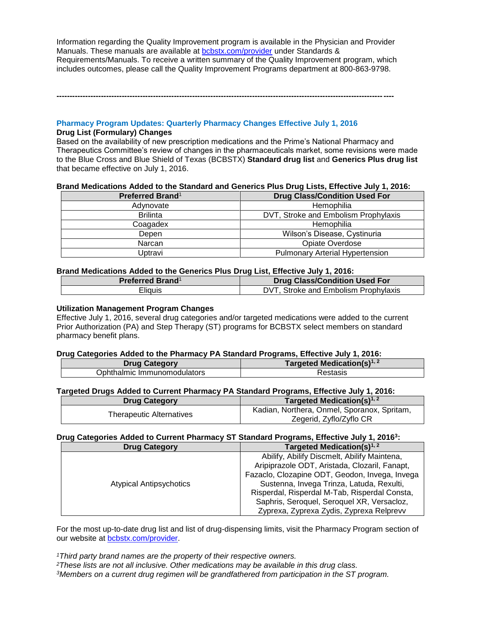Information regarding the Quality Improvement program is available in the Physician and Provider Manuals. These manuals are available at **bcbstx.com/provider** under Standards & Requirements/Manuals. To receive a written summary of the Quality Improvement program, which includes outcomes, please call the Quality Improvement Programs department at 800-863-9798.

**---------------------------------------------------------------------------------------------------------------------------------**

# **Pharmacy Program Updates: Quarterly Pharmacy Changes Effective July 1, 2016**

### **Drug List (Formulary) Changes**

Based on the availability of new prescription medications and the Prime's National Pharmacy and Therapeutics Committee's review of changes in the pharmaceuticals market, some revisions were made to the Blue Cross and Blue Shield of Texas (BCBSTX) **Standard drug list** and **Generics Plus drug list** that became effective on July 1, 2016.

### **Brand Medications Added to the Standard and Generics Plus Drug Lists, Effective July 1, 2016:**

| <b>Preferred Brand</b> <sup>1</sup> | <b>Drug Class/Condition Used For</b>   |
|-------------------------------------|----------------------------------------|
| Adynovate                           | Hemophilia                             |
| <b>Brilinta</b>                     | DVT, Stroke and Embolism Prophylaxis   |
| Coagadex                            | Hemophilia                             |
| Depen                               | Wilson's Disease, Cystinuria           |
| Narcan                              | Opiate Overdose                        |
| Uptravi                             | <b>Pulmonary Arterial Hypertension</b> |

### **Brand Medications Added to the Generics Plus Drug List, Effective July 1, 2016:**

| <b>Preferred Brand</b> <sup>1</sup> | <b>Drug Class/Condition Used For</b> |
|-------------------------------------|--------------------------------------|
| Eliauis                             | DVT, Stroke and Embolism Prophylaxis |

### **Utilization Management Program Changes**

Effective July 1, 2016, several drug categories and/or targeted medications were added to the current Prior Authorization (PA) and Step Therapy (ST) programs for BCBSTX select members on standard pharmacy benefit plans.

### **Drug Categories Added to the Pharmacy PA Standard Programs, Effective July 1, 2016:**

| <b>Drug Category</b>        | Targeted Medication(s) $1, 2$ |
|-----------------------------|-------------------------------|
| Ophthalmic Immunomodulators | रestasis                      |

## **Targeted Drugs Added to Current Pharmacy PA Standard Programs, Effective July 1, 2016:**

| <b>Drug Category</b>     | Targeted Medication(s) <sup>1, 2</sup>      |
|--------------------------|---------------------------------------------|
| Therapeutic Alternatives | Kadian, Northera, Onmel, Sporanox, Spritam, |
|                          | Zegerid, Zyflo/Zyflo CR                     |

### **Drug Categories Added to Current Pharmacy ST Standard Programs, Effective July 1, 2016<sup>3</sup> :**

| <b>Drug Category</b>           | Targeted Medication(s) $1, 2$                                                                                                                                                                                                                                                                                                           |  |
|--------------------------------|-----------------------------------------------------------------------------------------------------------------------------------------------------------------------------------------------------------------------------------------------------------------------------------------------------------------------------------------|--|
| <b>Atypical Antipsychotics</b> | Abilify, Abilify Discmelt, Abilify Maintena,<br>Aripiprazole ODT, Aristada, Clozaril, Fanapt,<br>Fazaclo, Clozapine ODT, Geodon, Invega, Invega<br>Sustenna, Invega Trinza, Latuda, Rexulti,<br>Risperdal, Risperdal M-Tab, Risperdal Consta,<br>Saphris, Seroquel, Seroquel XR, Versacloz,<br>Zyprexa, Zyprexa Zydis, Zyprexa Relprevv |  |

For the most up-to-date drug list and list of drug-dispensing limits, visit the Pharmacy Program section of our website at [bcbstx.com/provider.](http://www.bcbstx.com/provider/pharmacy/quantity_time.html)

*<sup>1</sup>Third party brand names are the property of their respective owners.*

*<sup>2</sup>These lists are not all inclusive. Other medications may be available in this drug class.*

*3Members on a current drug regimen will be grandfathered from participation in the ST program.*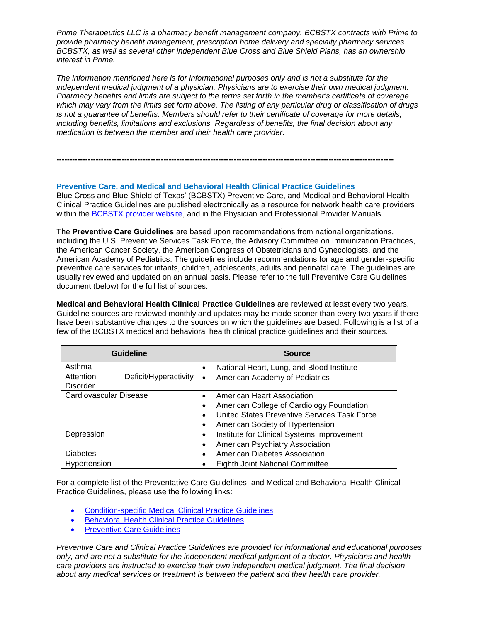*Prime Therapeutics LLC is a pharmacy benefit management company. BCBSTX contracts with Prime to provide pharmacy benefit management, prescription home delivery and specialty pharmacy services. BCBSTX, as well as several other independent Blue Cross and Blue Shield Plans, has an ownership interest in Prime.*

*The information mentioned here is for informational purposes only and is not a substitute for the independent medical judgment of a physician. Physicians are to exercise their own medical judgment. Pharmacy benefits and limits are subject to the terms set forth in the member's certificate of coverage which may vary from the limits set forth above. The listing of any particular drug or classification of drugs is not a guarantee of benefits. Members should refer to their certificate of coverage for more details, including benefits, limitations and exclusions. Regardless of benefits, the final decision about any medication is between the member and their health care provider.*

### **Preventive Care, and Medical and Behavioral Health Clinical Practice Guidelines**

Blue Cross and Blue Shield of Texas' (BCBSTX) Preventive Care, and Medical and Behavioral Health Clinical Practice Guidelines are published electronically as a resource for network health care providers within the [BCBSTX provider website,](http://www.bcbstx.com/provider/clinical/index.html) and in the Physician and Professional Provider Manuals.

**---------------------------------------------------------------------------------------------------------------------------------**

The **Preventive Care Guidelines** are based upon recommendations from national organizations, including the U.S. Preventive Services Task Force, the Advisory Committee on Immunization Practices, the American Cancer Society, the American Congress of Obstetricians and Gynecologists, and the American Academy of Pediatrics. The guidelines include recommendations for age and gender-specific preventive care services for infants, children, adolescents, adults and perinatal care. The guidelines are usually reviewed and updated on an annual basis. Please refer to the full Preventive Care Guidelines document (below) for the full list of sources.

**Medical and Behavioral Health Clinical Practice Guidelines** are reviewed at least every two years. Guideline sources are reviewed monthly and updates may be made sooner than every two years if there have been substantive changes to the sources on which the guidelines are based. Following is a list of a few of the BCBSTX medical and behavioral health clinical practice guidelines and their sources.

| <b>Guideline</b>                                      | <b>Source</b>                                                                                                                                               |
|-------------------------------------------------------|-------------------------------------------------------------------------------------------------------------------------------------------------------------|
| Asthma                                                | National Heart, Lung, and Blood Institute                                                                                                                   |
| Attention<br>Deficit/Hyperactivity<br><b>Disorder</b> | American Academy of Pediatrics<br>$\bullet$                                                                                                                 |
| Cardiovascular Disease                                | American Heart Association<br>American College of Cardiology Foundation<br>United States Preventive Services Task Force<br>American Society of Hypertension |
| Depression                                            | Institute for Clinical Systems Improvement<br>$\bullet$<br>American Psychiatry Association                                                                  |
| <b>Diabetes</b>                                       | American Diabetes Association<br>٠                                                                                                                          |
| Hypertension                                          | Eighth Joint National Committee                                                                                                                             |

For a complete list of the Preventative Care Guidelines, and Medical and Behavioral Health Clinical Practice Guidelines, please use the following links:

- [Condition-specific Medical Clinical Practice Guidelines](https://www.bcbstx.com/provider/clinical/cpg.html)
- **•** [Behavioral Health Clinical Practice Guidelines](https://www.bcbstx.com/provider/clinical/clinical_practice_guidelines.html)
- [Preventive Care Guidelines](https://www.bcbstx.com/provider/clinical/tx_preventivecare.html)

*Preventive Care and Clinical Practice Guidelines are provided for informational and educational purposes only, and are not a substitute for the independent medical judgment of a doctor. Physicians and health care providers are instructed to exercise their own independent medical judgment. The final decision about any medical services or treatment is between the patient and their health care provider.*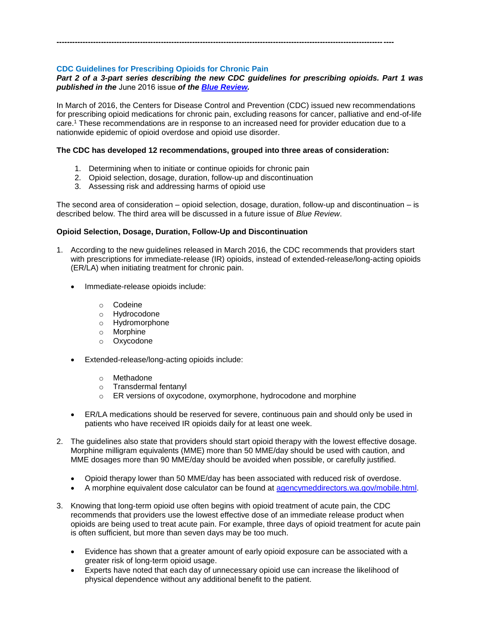# **CDC Guidelines for Prescribing Opioids for Chronic Pain**

# *Part 2 of a 3-part series describing the new CDC guidelines for prescribing opioids. Part 1 was published in the* June 2016 issue *of the [Blue Review](https://www.bcbstx.com/provider/news/bluereview.html).*

In March of 2016, the Centers for Disease Control and Prevention (CDC) issued new recommendations for prescribing opioid medications for chronic pain, excluding reasons for cancer, palliative and end-of-life care.<sup>1</sup> These recommendations are in response to an increased need for provider education due to a nationwide epidemic of opioid overdose and opioid use disorder.

# **The CDC has developed 12 recommendations, grouped into three areas of consideration:**

**---------------------------------------------------------------------------------------------------------------------------------**

- 1. Determining when to initiate or continue opioids for chronic pain
- 2. Opioid selection, dosage, duration, follow-up and discontinuation
- 3. Assessing risk and addressing harms of opioid use

The second area of consideration – opioid selection, dosage, duration, follow-up and discontinuation – is described below. The third area will be discussed in a future issue of *Blue Review*.

# **Opioid Selection, Dosage, Duration, Follow-Up and Discontinuation**

- 1. According to the new guidelines released in March 2016, the CDC recommends that providers start with prescriptions for immediate-release (IR) opioids, instead of extended-release/long-acting opioids (ER/LA) when initiating treatment for chronic pain.
	- Immediate-release opioids include:
		- o Codeine
		- o Hydrocodone
		- o Hydromorphone
		- o Morphine
		- o Oxycodone
	- Extended-release/long-acting opioids include:
		- o Methadone
		- o Transdermal fentanyl
		- o ER versions of oxycodone, oxymorphone, hydrocodone and morphine
	- ER/LA medications should be reserved for severe, continuous pain and should only be used in patients who have received IR opioids daily for at least one week.
- 2. The guidelines also state that providers should start opioid therapy with the lowest effective dosage. Morphine milligram equivalents (MME) more than 50 MME/day should be used with caution, and MME dosages more than 90 MME/day should be avoided when possible, or carefully justified.
	- Opioid therapy lower than 50 MME/day has been associated with reduced risk of overdose.
	- A morphine equivalent dose calculator can be found at [agencymeddirectors.wa.gov/mobile.html.](http://www.agencymeddirectors.wa.gov/opioiddosing.asp)
- 3. Knowing that long-term opioid use often begins with opioid treatment of acute pain, the CDC recommends that providers use the lowest effective dose of an immediate release product when opioids are being used to treat acute pain. For example, three days of opioid treatment for acute pain is often sufficient, but more than seven days may be too much.
	- Evidence has shown that a greater amount of early opioid exposure can be associated with a greater risk of long-term opioid usage.
	- Experts have noted that each day of unnecessary opioid use can increase the likelihood of physical dependence without any additional benefit to the patient.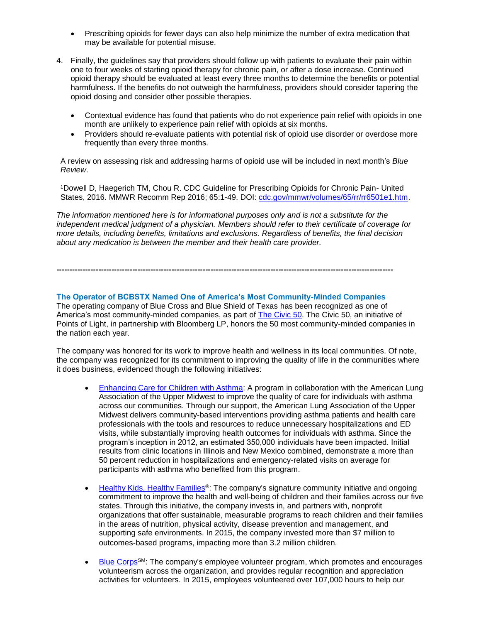- Prescribing opioids for fewer days can also help minimize the number of extra medication that may be available for potential misuse.
- 4. Finally, the guidelines say that providers should follow up with patients to evaluate their pain within one to four weeks of starting opioid therapy for chronic pain, or after a dose increase. Continued opioid therapy should be evaluated at least every three months to determine the benefits or potential harmfulness. If the benefits do not outweigh the harmfulness, providers should consider tapering the opioid dosing and consider other possible therapies.
	- Contextual evidence has found that patients who do not experience pain relief with opioids in one month are unlikely to experience pain relief with opioids at six months.
	- Providers should re-evaluate patients with potential risk of opioid use disorder or overdose more frequently than every three months.

A review on assessing risk and addressing harms of opioid use will be included in next month's *Blue Review*.

<sup>1</sup>Dowell D, Haegerich TM, Chou R. CDC Guideline for Prescribing Opioids for Chronic Pain- United States, 2016. MMWR Recomm Rep 2016; 65:1-49. DOI: [cdc.gov/mmwr/volumes/65/rr/rr6501e1.htm.](http://www.cdc.gov/mmwr/volumes/65/rr/rr6501e1.htm)

*The information mentioned here is for informational purposes only and is not a substitute for the independent medical judgment of a physician. Members should refer to their certificate of coverage for more details, including benefits, limitations and exclusions. Regardless of benefits, the final decision about any medication is between the member and their health care provider.*

**The Operator of BCBSTX Named One of America's Most Community-Minded Companies**

**---------------------------------------------------------------------------------------------------------------------------------**

The operating company of Blue Cross and Blue Shield of Texas has been recognized as one of America's most community-minded companies, as part of **The Civic 50**. The Civic 50, an initiative of Points of Light, in partnership with Bloomberg LP, honors the 50 most community-minded companies in the nation each year.

The company was honored for its work to improve health and wellness in its local communities. Of note, the company was recognized for its commitment to improving the quality of life in the communities where it does business, evidenced though the following initiatives:

- [Enhancing Care for Children with Asthma:](http://hcsc2015srr.com/disease-management-2/) A program in collaboration with the American Lung Association of the Upper Midwest to improve the quality of care for individuals with asthma across our communities. Through our support, the American Lung Association of the Upper Midwest delivers community-based interventions providing asthma patients and health care professionals with the tools and resources to reduce unnecessary hospitalizations and ED visits, while substantially improving health outcomes for individuals with asthma. Since the program's inception in 2012, an estimated 350,000 individuals have been impacted. Initial results from clinic locations in Illinois and New Mexico combined, demonstrate a more than 50 percent reduction in hospitalizations and emergency-related visits on average for participants with asthma who benefited from this program.
- [Healthy Kids, Healthy Families](http://hcsc2015srr.com/community-investments/)<sup>®</sup>: The company's signature community initiative and ongoing commitment to improve the health and well-being of children and their families across our five states. Through this initiative, the company invests in, and partners with, nonprofit organizations that offer sustainable, measurable programs to reach children and their families in the areas of nutrition, physical activity, disease prevention and management, and supporting safe environments. In 2015, the company invested more than \$7 million to outcomes-based programs, impacting more than 3.2 million children.
- **[Blue Corps](http://hcsc2015srr.com/volunteerism-2/)<sup>SM</sup>:** The company's employee volunteer program, which promotes and encourages volunteerism across the organization, and provides regular recognition and appreciation activities for volunteers. In 2015, employees volunteered over 107,000 hours to help our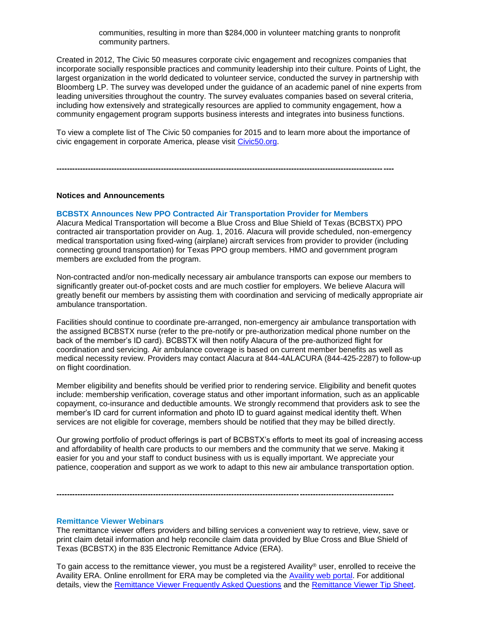communities, resulting in more than \$284,000 in volunteer matching grants to nonprofit community partners.

Created in 2012, The Civic 50 measures corporate civic engagement and recognizes companies that incorporate socially responsible practices and community leadership into their culture. Points of Light, the largest organization in the world dedicated to volunteer service, conducted the survey in partnership with Bloomberg LP. The survey was developed under the guidance of an academic panel of nine experts from leading universities throughout the country. The survey evaluates companies based on several criteria, including how extensively and strategically resources are applied to community engagement, how a community engagement program supports business interests and integrates into business functions.

To view a complete list of The Civic 50 companies for 2015 and to learn more about the importance of civic engagement in corporate America, please visit [Civic50.org.](http://www.civic50.org/)

**---------------------------------------------------------------------------------------------------------------------------------**

#### **Notices and Announcements**

#### **BCBSTX Announces New PPO Contracted Air Transportation Provider for Members**

Alacura Medical Transportation will become a Blue Cross and Blue Shield of Texas (BCBSTX) PPO contracted air transportation provider on Aug. 1, 2016. Alacura will provide scheduled, non-emergency medical transportation using fixed-wing (airplane) aircraft services from provider to provider (including connecting ground transportation) for Texas PPO group members. HMO and government program members are excluded from the program.

Non-contracted and/or non-medically necessary air ambulance transports can expose our members to significantly greater out-of-pocket costs and are much costlier for employers. We believe Alacura will greatly benefit our members by assisting them with coordination and servicing of medically appropriate air ambulance transportation.

Facilities should continue to coordinate pre-arranged, non-emergency air ambulance transportation with the assigned BCBSTX nurse (refer to the pre-notify or pre-authorization medical phone number on the back of the member's ID card). BCBSTX will then notify Alacura of the pre-authorized flight for coordination and servicing. Air ambulance coverage is based on current member benefits as well as medical necessity review. Providers may contact Alacura at 844-4ALACURA (844-425-2287) to follow-up on flight coordination.

Member eligibility and benefits should be verified prior to rendering service. Eligibility and benefit quotes include: membership verification, coverage status and other important information, such as an applicable copayment, co-insurance and deductible amounts. We strongly recommend that providers ask to see the member's ID card for current information and photo ID to guard against medical identity theft. When services are not eligible for coverage, members should be notified that they may be billed directly.

Our growing portfolio of product offerings is part of BCBSTX's efforts to meet its goal of increasing access and affordability of health care products to our members and the community that we serve. Making it easier for you and your staff to conduct business with us is equally important. We appreciate your patience, cooperation and support as we work to adapt to this new air ambulance transportation option.

**---------------------------------------------------------------------------------------------------------------------------------**

#### **Remittance Viewer Webinars**

The remittance viewer offers providers and billing services a convenient way to retrieve, view, save or print claim detail information and help reconcile claim data provided by Blue Cross and Blue Shield of Texas (BCBSTX) in the 835 Electronic Remittance Advice (ERA).

To gain access to the remittance viewer, you must be a registered Availity® user, enrolled to receive the Availity ERA. Online enrollment for ERA may be completed via the [Availity web portal.](https://www.availity.com/) For additional details, view the [Remittance Viewer Frequently Asked Questions](https://www.bcbstx.com/provider/pdf/remittance_viewer_faqs.pdf) and the [Remittance Viewer Tip Sheet.](https://www.bcbstx.com/provider/pdf/remittance_viewer_tip_sheet.pdf)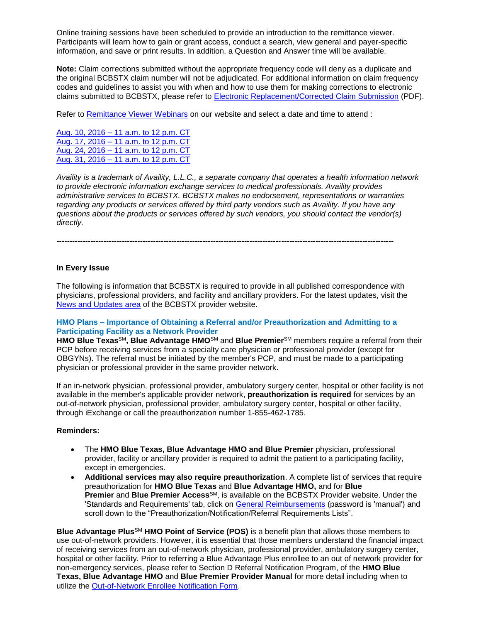Online training sessions have been scheduled to provide an introduction to the remittance viewer. Participants will learn how to gain or grant access, conduct a search, view general and payer-specific information, and save or print results. In addition, a Question and Answer time will be available.

**Note:** Claim corrections submitted without the appropriate frequency code will deny as a duplicate and the original BCBSTX claim number will not be adjudicated. For additional information on claim frequency codes and guidelines to assist you with when and how to use them for making corrections to electronic claims submitted to BCBSTX, please refer to [Electronic Replacement/Corrected Claim Submission](http://www.bcbstx.com/provider/pdf/corrected-claim-submissions.pdf) (PDF).

Refer to [Remittance Viewer Webinars](http://www.bcbstx.com/provider/tools/remittance_viewer_webinars.html) on our website and select a date and time to attend :

[Aug. 10, 2016 –](https://hcsc.webex.com/hcsc/j.php?RGID=rb213f231d6537e5ea1b7a849f8f5a122) 11 a.m. to 12 p.m. CT Aug. 17, 2016 – [11 a.m. to 12 p.m. CT](https://hcsc.webex.com/hcsc/j.php?RGID=r5e5ee92dfd08c94d669da5d957399200) Aug. 24, 2016 – [11 a.m. to 12 p.m. CT](https://hcsc.webex.com/hcsc/j.php?RGID=ra9da0c431f887344cda533a04cbb4840) Aug. 31, 2016 – [11 a.m. to 12 p.m. CT](https://hcsc.webex.com/hcsc/j.php?RGID=re998ef49a3d567dbaa0f1cfb1be179ec)

*Availity is a trademark of Availity, L.L.C., a separate company that operates a health information network to provide electronic information exchange services to medical professionals. Availity provides administrative services to BCBSTX. BCBSTX makes no endorsement, representations or warranties regarding any products or services offered by third party vendors such as Availity. If you have any questions about the products or services offered by such vendors, you should contact the vendor(s) directly.*

# **In Every Issue**

The following is information that BCBSTX is required to provide in all published correspondence with physicians, professional providers, and facility and ancillary providers. For the latest updates, visit the [News and Updates area](http://www.bcbstx.com/provider/news/index.html) of the BCBSTX provider website.

**---------------------------------------------------------------------------------------------------------------------------------**

### **HMO Plans – Importance of Obtaining a Referral and/or Preauthorization and Admitting to a Participating Facility as a Network Provider**

**HMO Blue Texas**SM**, Blue Advantage HMO**SM and **Blue Premier**SM members require a referral from their PCP before receiving services from a specialty care physician or professional provider (except for OBGYNs). The referral must be initiated by the member's PCP, and must be made to a participating physician or professional provider in the same provider network.

If an in-network physician, professional provider, ambulatory surgery center, hospital or other facility is not available in the member's applicable provider network, **preauthorization is required** for services by an out-of-network physician, professional provider, ambulatory surgery center, hospital or other facility, through iExchange or call the preauthorization number 1-855-462-1785.

### **Reminders:**

- The **HMO Blue Texas, Blue Advantage HMO and Blue Premier** physician, professional provider, facility or ancillary provider is required to admit the patient to a participating facility, except in emergencies.
- **Additional services may also require preauthorization**. A complete list of services that require preauthorization for **HMO Blue Texas** and **Blue Advantage HMO,** and for **Blue Premier** and **Blue Premier Access**SM, is available on the BCBSTX Provider website. Under the 'Standards and Requirements' tab, click on [General Reimbursements](https://www.bcbstx.com/provider/gri/index.html) (password is 'manual') and scroll down to the "Preauthorization/Notification/Referral Requirements Lists".

**Blue Advantage Plus**SM **HMO Point of Service (POS)** is a benefit plan that allows those members to use out-of-network providers. However, it is essential that those members understand the financial impact of receiving services from an out-of-network physician, professional provider, ambulatory surgery center, hospital or other facility. Prior to referring a Blue Advantage Plus enrollee to an out of network provider for non-emergency services, please refer to Section D Referral Notification Program, of the **HMO Blue Texas, Blue Advantage HMO** and **Blue Premier Provider Manual** for more detail including when to utilize the [Out-of-Network Enrollee Notification Form](https://www.bcbstx.com/provider/pdf/out-of-network-care-enrollee-notification-form.pdf).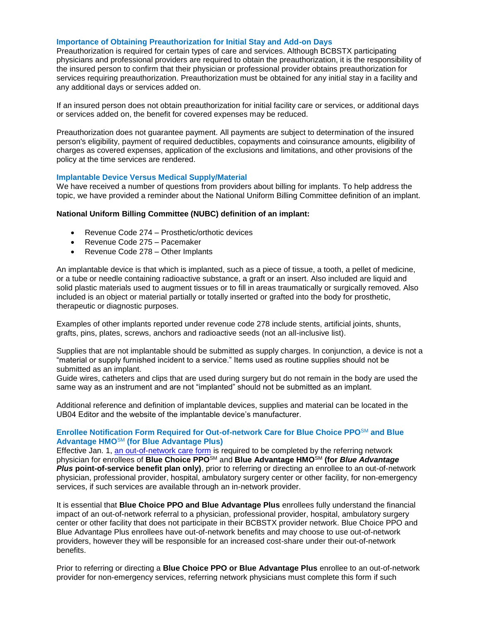#### **Importance of Obtaining Preauthorization for Initial Stay and Add-on Days**

Preauthorization is required for certain types of care and services. Although BCBSTX participating physicians and professional providers are required to obtain the preauthorization, it is the responsibility of the insured person to confirm that their physician or professional provider obtains preauthorization for services requiring preauthorization. Preauthorization must be obtained for any initial stay in a facility and any additional days or services added on.

If an insured person does not obtain preauthorization for initial facility care or services, or additional days or services added on, the benefit for covered expenses may be reduced.

Preauthorization does not guarantee payment. All payments are subject to determination of the insured person's eligibility, payment of required deductibles, copayments and coinsurance amounts, eligibility of charges as covered expenses, application of the exclusions and limitations, and other provisions of the policy at the time services are rendered.

#### **Implantable Device Versus Medical Supply/Material**

We have received a number of questions from providers about billing for implants. To help address the topic, we have provided a reminder about the National Uniform Billing Committee definition of an implant.

#### **National Uniform Billing Committee (NUBC) definition of an implant:**

- Revenue Code 274 Prosthetic/orthotic devices
- Revenue Code 275 Pacemaker
- Revenue Code 278 Other Implants

An implantable device is that which is implanted, such as a piece of tissue, a tooth, a pellet of medicine, or a tube or needle containing radioactive substance, a graft or an insert. Also included are liquid and solid plastic materials used to augment tissues or to fill in areas traumatically or surgically removed. Also included is an object or material partially or totally inserted or grafted into the body for prosthetic, therapeutic or diagnostic purposes.

Examples of other implants reported under revenue code 278 include stents, artificial joints, shunts, grafts, pins, plates, screws, anchors and radioactive seeds (not an all-inclusive list).

Supplies that are not implantable should be submitted as supply charges. In conjunction, a device is not a "material or supply furnished incident to a service." Items used as routine supplies should not be submitted as an implant.

Guide wires, catheters and clips that are used during surgery but do not remain in the body are used the same way as an instrument and are not "implanted" should not be submitted as an implant.

Additional reference and definition of implantable devices, supplies and material can be located in the UB04 Editor and the website of the implantable device's manufacturer.

### **Enrollee Notification Form Required for Out-of-network Care for Blue Choice PPO**SM **and Blue Advantage HMO**SM **(for Blue Advantage Plus)**

Effective Jan. 1, [an out-of-network care form](https://www.bcbstx.com/provider/pdf/out-of-network-care-enrollee-notification-form.pdf) is required to be completed by the referring network physician for enrollees of **Blue Choice PPO**SM and **Blue Advantage HMO**SM **(for** *Blue Advantage Plus* **point-of-service benefit plan only)**, prior to referring or directing an enrollee to an out-of-network physician, professional provider, hospital, ambulatory surgery center or other facility, for non-emergency services, if such services are available through an in-network provider.

It is essential that **Blue Choice PPO and Blue Advantage Plus** enrollees fully understand the financial impact of an out-of-network referral to a physician, professional provider, hospital, ambulatory surgery center or other facility that does not participate in their BCBSTX provider network. Blue Choice PPO and Blue Advantage Plus enrollees have out-of-network benefits and may choose to use out-of-network providers, however they will be responsible for an increased cost-share under their out-of-network benefits.

Prior to referring or directing a **Blue Choice PPO or Blue Advantage Plus** enrollee to an out-of-network provider for non-emergency services, referring network physicians must complete this form if such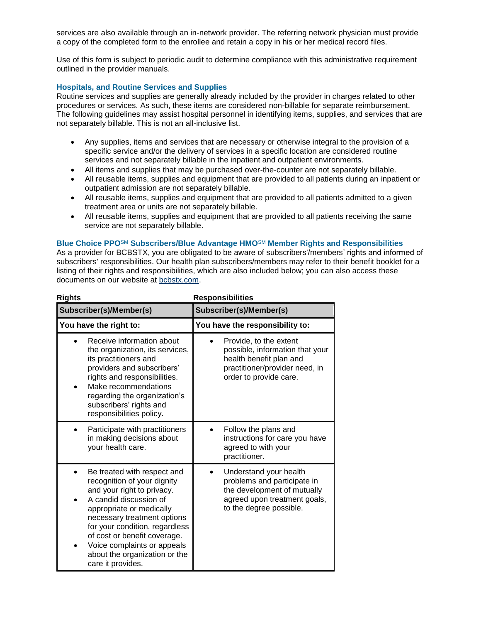services are also available through an in-network provider. The referring network physician must provide a copy of the completed form to the enrollee and retain a copy in his or her medical record files.

Use of this form is subject to periodic audit to determine compliance with this administrative requirement outlined in the provider manuals.

# **Hospitals, and Routine Services and Supplies**

Routine services and supplies are generally already included by the provider in charges related to other procedures or services. As such, these items are considered non-billable for separate reimbursement. The following guidelines may assist hospital personnel in identifying items, supplies, and services that are not separately billable. This is not an all-inclusive list.

- Any supplies, items and services that are necessary or otherwise integral to the provision of a specific service and/or the delivery of services in a specific location are considered routine services and not separately billable in the inpatient and outpatient environments.
- All items and supplies that may be purchased over-the-counter are not separately billable.
- All reusable items, supplies and equipment that are provided to all patients during an inpatient or outpatient admission are not separately billable.
- All reusable items, supplies and equipment that are provided to all patients admitted to a given treatment area or units are not separately billable.
- All reusable items, supplies and equipment that are provided to all patients receiving the same service are not separately billable.

# **Blue Choice PPO**SM **Subscribers/Blue Advantage HMO**SM **Member Rights and Responsibilities**

As a provider for BCBSTX, you are obligated to be aware of subscribers'/members' rights and informed of subscribers' responsibilities. Our health plan subscribers/members may refer to their benefit booklet for a listing of their rights and responsibilities, which are also included below; you can also access these documents on our website at [bcbstx.com.](http://www.pages02.net/hcscnosuppression/nlt_br_providers_june_2016_b_ok_060116_in_every_issue/LPT.url?kn=900473&vs=YTVjNjZjMzUtOGRhNi00MDUwLWI1MDAtYTg0NTI3M2JkZmUxOzA6ODk5OTgwMToyMjY0ODg5MjYwNzo5NDAwOTQyMjQ6OTQwMDk0MjI0OwS2)

| <b>Rights</b>                                                                                                                                                                                                                                                                                                                        | <b>Responsibilities</b>                                                                                                                          |
|--------------------------------------------------------------------------------------------------------------------------------------------------------------------------------------------------------------------------------------------------------------------------------------------------------------------------------------|--------------------------------------------------------------------------------------------------------------------------------------------------|
| Subscriber(s)/Member(s)                                                                                                                                                                                                                                                                                                              | Subscriber(s)/Member(s)                                                                                                                          |
| You have the right to:                                                                                                                                                                                                                                                                                                               | You have the responsibility to:                                                                                                                  |
| Receive information about<br>the organization, its services,<br>its practitioners and<br>providers and subscribers'<br>rights and responsibilities.<br>Make recommendations<br>regarding the organization's<br>subscribers' rights and<br>responsibilities policy.                                                                   | Provide, to the extent<br>possible, information that your<br>health benefit plan and<br>practitioner/provider need, in<br>order to provide care. |
| Participate with practitioners<br>in making decisions about<br>your health care.                                                                                                                                                                                                                                                     | Follow the plans and<br>instructions for care you have<br>agreed to with your<br>practitioner.                                                   |
| Be treated with respect and<br>recognition of your dignity<br>and your right to privacy.<br>A candid discussion of<br>appropriate or medically<br>necessary treatment options<br>for your condition, regardless<br>of cost or benefit coverage.<br>Voice complaints or appeals<br>about the organization or the<br>care it provides. | Understand your health<br>problems and participate in<br>the development of mutually<br>agreed upon treatment goals,<br>to the degree possible.  |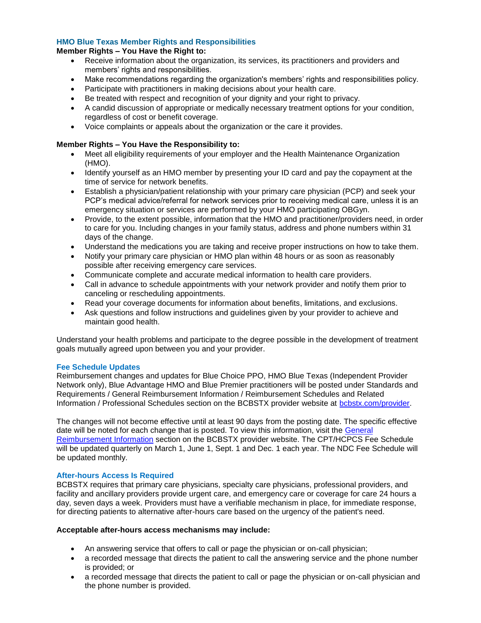# **HMO Blue Texas Member Rights and Responsibilities**

### **Member Rights – You Have the Right to:**

- Receive information about the organization, its services, its practitioners and providers and members' rights and responsibilities.
- Make recommendations regarding the organization's members' rights and responsibilities policy.
- Participate with practitioners in making decisions about your health care.
- Be treated with respect and recognition of your dignity and your right to privacy.
- A candid discussion of appropriate or medically necessary treatment options for your condition, regardless of cost or benefit coverage.
- Voice complaints or appeals about the organization or the care it provides.

# **Member Rights – You Have the Responsibility to:**

- Meet all eligibility requirements of your employer and the Health Maintenance Organization (HMO).
- Identify yourself as an HMO member by presenting your ID card and pay the copayment at the time of service for network benefits.
- Establish a physician/patient relationship with your primary care physician (PCP) and seek your PCP's medical advice/referral for network services prior to receiving medical care, unless it is an emergency situation or services are performed by your HMO participating OBGyn.
- Provide, to the extent possible, information that the HMO and practitioner/providers need, in order to care for you. Including changes in your family status, address and phone numbers within 31 days of the change.
- Understand the medications you are taking and receive proper instructions on how to take them.
- Notify your primary care physician or HMO plan within 48 hours or as soon as reasonably possible after receiving emergency care services.
- Communicate complete and accurate medical information to health care providers.
- Call in advance to schedule appointments with your network provider and notify them prior to canceling or rescheduling appointments.
- Read your coverage documents for information about benefits, limitations, and exclusions.
- Ask questions and follow instructions and guidelines given by your provider to achieve and maintain good health.

Understand your health problems and participate to the degree possible in the development of treatment goals mutually agreed upon between you and your provider.

### **Fee Schedule Updates**

Reimbursement changes and updates for Blue Choice PPO, HMO Blue Texas (Independent Provider Network only), Blue Advantage HMO and Blue Premier practitioners will be posted under Standards and Requirements / General Reimbursement Information / Reimbursement Schedules and Related Information / Professional Schedules section on the BCBSTX provider website at [bcbstx.com/provider](https://www.bcbstx.com/provider/).

The changes will not become effective until at least 90 days from the posting date. The specific effective date will be noted for each change that is posted. To view this information, visit the [General](https://www.bcbstx.com/provider/gri/index.html)  [Reimbursement Information](https://www.bcbstx.com/provider/gri/index.html) section on the BCBSTX provider website. The CPT/HCPCS Fee Schedule will be updated quarterly on March 1, June 1, Sept. 1 and Dec. 1 each year. The NDC Fee Schedule will be updated monthly.

### **After-hours Access Is Required**

BCBSTX requires that primary care physicians, specialty care physicians, professional providers, and facility and ancillary providers provide urgent care, and emergency care or coverage for care 24 hours a day, seven days a week. Providers must have a verifiable mechanism in place, for immediate response, for directing patients to alternative after-hours care based on the urgency of the patient's need.

### **Acceptable after-hours access mechanisms may include:**

- An answering service that offers to call or page the physician or on-call physician;
- a recorded message that directs the patient to call the answering service and the phone number is provided; or
- a recorded message that directs the patient to call or page the physician or on-call physician and the phone number is provided.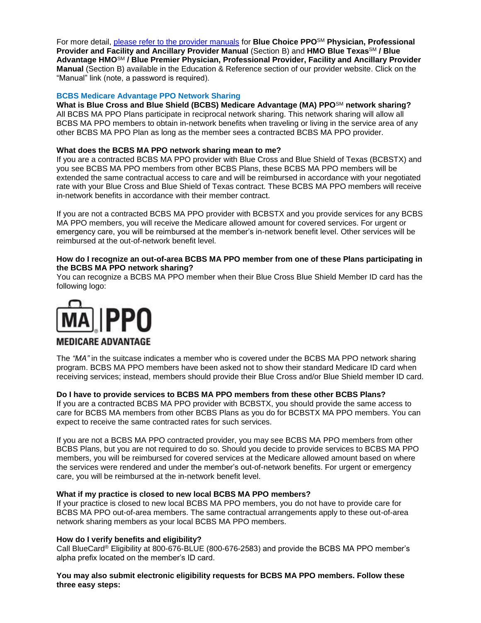For more detail, [please refer to the provider manuals](https://www.bcbstx.com/provider/gri/index.html) for **Blue Choice PPO**SM **Physician, Professional Provider and Facility and Ancillary Provider Manual** (Section B) and **HMO Blue Texas**SM **/ Blue Advantage HMO**SM **/ Blue Premier Physician, Professional Provider, Facility and Ancillary Provider Manual** (Section B) available in the Education & Reference section of our provider website. Click on the "Manual" link (note, a password is required).

#### **BCBS Medicare Advantage PPO Network Sharing**

**What is Blue Cross and Blue Shield (BCBS) Medicare Advantage (MA) PPO**SM **network sharing?** All BCBS MA PPO Plans participate in reciprocal network sharing. This network sharing will allow all BCBS MA PPO members to obtain in-network benefits when traveling or living in the service area of any other BCBS MA PPO Plan as long as the member sees a contracted BCBS MA PPO provider.

#### **What does the BCBS MA PPO network sharing mean to me?**

If you are a contracted BCBS MA PPO provider with Blue Cross and Blue Shield of Texas (BCBSTX) and you see BCBS MA PPO members from other BCBS Plans, these BCBS MA PPO members will be extended the same contractual access to care and will be reimbursed in accordance with your negotiated rate with your Blue Cross and Blue Shield of Texas contract. These BCBS MA PPO members will receive in-network benefits in accordance with their member contract.

If you are not a contracted BCBS MA PPO provider with BCBSTX and you provide services for any BCBS MA PPO members, you will receive the Medicare allowed amount for covered services. For urgent or emergency care, you will be reimbursed at the member's in-network benefit level. Other services will be reimbursed at the out-of-network benefit level.

#### **How do I recognize an out-of-area BCBS MA PPO member from one of these Plans participating in the BCBS MA PPO network sharing?**

You can recognize a BCBS MA PPO member when their Blue Cross Blue Shield Member ID card has the following logo:



The *"MA"* in the suitcase indicates a member who is covered under the BCBS MA PPO network sharing program. BCBS MA PPO members have been asked not to show their standard Medicare ID card when receiving services; instead, members should provide their Blue Cross and/or Blue Shield member ID card.

#### **Do I have to provide services to BCBS MA PPO members from these other BCBS Plans?**

If you are a contracted BCBS MA PPO provider with BCBSTX, you should provide the same access to care for BCBS MA members from other BCBS Plans as you do for BCBSTX MA PPO members. You can expect to receive the same contracted rates for such services.

If you are not a BCBS MA PPO contracted provider, you may see BCBS MA PPO members from other BCBS Plans, but you are not required to do so. Should you decide to provide services to BCBS MA PPO members, you will be reimbursed for covered services at the Medicare allowed amount based on where the services were rendered and under the member's out-of-network benefits. For urgent or emergency care, you will be reimbursed at the in-network benefit level.

#### **What if my practice is closed to new local BCBS MA PPO members?**

If your practice is closed to new local BCBS MA PPO members, you do not have to provide care for BCBS MA PPO out-of-area members. The same contractual arrangements apply to these out-of-area network sharing members as your local BCBS MA PPO members.

#### **How do I verify benefits and eligibility?**

Call BlueCard® Eligibility at 800-676-BLUE (800-676-2583) and provide the BCBS MA PPO member's alpha prefix located on the member's ID card.

**You may also submit electronic eligibility requests for BCBS MA PPO members. Follow these three easy steps:**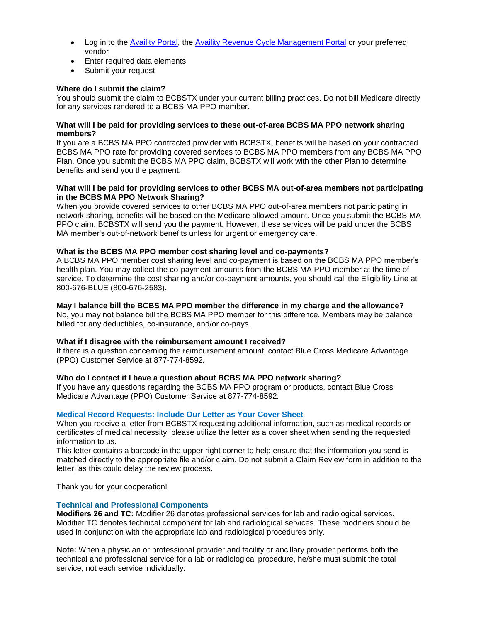- Log in to the [Availity Portal,](https://www.availity.com/) the [Availity Revenue Cycle Management Portal](https://claims.realmed.com/MainFrameset.htm) or your preferred vendor
- Enter required data elements
- Submit your request

# **Where do I submit the claim?**

You should submit the claim to BCBSTX under your current billing practices. Do not bill Medicare directly for any services rendered to a BCBS MA PPO member.

#### **What will I be paid for providing services to these out-of-area BCBS MA PPO network sharing members?**

If you are a BCBS MA PPO contracted provider with BCBSTX, benefits will be based on your contracted BCBS MA PPO rate for providing covered services to BCBS MA PPO members from any BCBS MA PPO Plan. Once you submit the BCBS MA PPO claim, BCBSTX will work with the other Plan to determine benefits and send you the payment.

#### **What will I be paid for providing services to other BCBS MA out-of-area members not participating in the BCBS MA PPO Network Sharing?**

When you provide covered services to other BCBS MA PPO out-of-area members not participating in network sharing, benefits will be based on the Medicare allowed amount. Once you submit the BCBS MA PPO claim, BCBSTX will send you the payment. However, these services will be paid under the BCBS MA member's out-of-network benefits unless for urgent or emergency care.

### **What is the BCBS MA PPO member cost sharing level and co-payments?**

A BCBS MA PPO member cost sharing level and co-payment is based on the BCBS MA PPO member's health plan. You may collect the co-payment amounts from the BCBS MA PPO member at the time of service. To determine the cost sharing and/or co-payment amounts, you should call the Eligibility Line at 800-676-BLUE (800-676-2583).

### **May I balance bill the BCBS MA PPO member the difference in my charge and the allowance?**

No, you may not balance bill the BCBS MA PPO member for this difference. Members may be balance billed for any deductibles, co-insurance, and/or co-pays.

### **What if I disagree with the reimbursement amount I received?**

If there is a question concerning the reimbursement amount, contact Blue Cross Medicare Advantage (PPO) Customer Service at 877-774-8592*.*

### **Who do I contact if I have a question about BCBS MA PPO network sharing?**

If you have any questions regarding the BCBS MA PPO program or products, contact Blue Cross Medicare Advantage (PPO) Customer Service at 877-774-8592*.*

### **Medical Record Requests: Include Our Letter as Your Cover Sheet**

When you receive a letter from BCBSTX requesting additional information, such as medical records or certificates of medical necessity, please utilize the letter as a cover sheet when sending the requested information to us.

This letter contains a barcode in the upper right corner to help ensure that the information you send is matched directly to the appropriate file and/or claim. Do not submit a Claim Review form in addition to the letter, as this could delay the review process.

Thank you for your cooperation!

### **Technical and Professional Components**

**Modifiers 26 and TC:** Modifier 26 denotes professional services for lab and radiological services. Modifier TC denotes technical component for lab and radiological services. These modifiers should be used in conjunction with the appropriate lab and radiological procedures only.

**Note:** When a physician or professional provider and facility or ancillary provider performs both the technical and professional service for a lab or radiological procedure, he/she must submit the total service, not each service individually.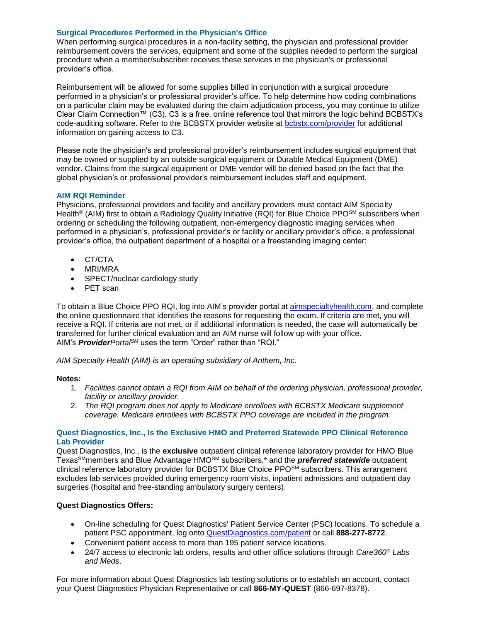# **Surgical Procedures Performed in the Physician's Office**

When performing surgical procedures in a non-facility setting, the physician and professional provider reimbursement covers the services, equipment and some of the supplies needed to perform the surgical procedure when a member/subscriber receives these services in the physician's or professional provider's office.

Reimbursement will be allowed for some supplies billed in conjunction with a surgical procedure performed in a physician's or professional provider's office. To help determine how coding combinations on a particular claim may be evaluated during the claim adjudication process, you may continue to utilize Clear Claim Connection™ (C3). C3 is a free, online reference tool that mirrors the logic behind BCBSTX's code-auditing software. Refer to the BCBSTX provider website at [bcbstx.com/provider](https://www.bcbstx.com/provider/index.html) for additional information on gaining access to [C3.](https://www.bcbstx.com/provider/tools/clear_claim_connection.html)

Please note the physician's and professional provider's reimbursement includes surgical equipment that may be owned or supplied by an outside surgical equipment or Durable Medical Equipment (DME) vendor. Claims from the surgical equipment or DME vendor will be denied based on the fact that the global physician's or professional provider's reimbursement includes staff and equipment.

### **AIM RQI Reminder**

Physicians, professional providers and facility and ancillary providers must contact AIM Specialty Health<sup>®</sup> (AIM) first to obtain a Radiology Quality Initiative (RQI) for Blue Choice PPO<sup>SM</sup> subscribers when ordering or scheduling the following outpatient, non-emergency diagnostic imaging services when performed in a physician's, professional provider's or facility or ancillary provider's office, a professional provider's office, the outpatient department of a hospital or a freestanding imaging center:

- CT/CTA
- MRI/MRA
- SPECT/nuclear cardiology study
- PET scan

To obtain a Blue Choice PPO RQI, log into AIM's provider portal at [aimspecialtyhealth.com](http://www.aimspecialtyhealth.com/), and complete the online questionnaire that identifies the reasons for requesting the exam. If criteria are met, you will receive a RQI. If criteria are not met, or if additional information is needed, the case will automatically be transferred for further clinical evaluation and an AIM nurse will follow up with your office. AIM's *ProviderPortalSM* uses the term "Order" rather than "RQI."

*AIM Specialty Health (AIM) is an operating subsidiary of Anthem, Inc.*

### **Notes:**

- 1. *Facilities cannot obtain a RQI from AIM on behalf of the ordering physician, professional provider, facility or ancillary provider.*
- 2. *The RQI program does not apply to Medicare enrollees with BCBSTX Medicare supplement coverage. Medicare enrollees with BCBSTX PPO coverage are included in the program.*

### **Quest Diagnostics, Inc., Is the Exclusive HMO and Preferred Statewide PPO Clinical Reference Lab Provider**

Quest Diagnostics, Inc., is the **exclusive** outpatient clinical reference laboratory provider for HMO Blue TexasSMmembers and Blue Advantage HMOSM subscribers,\* and the *preferred statewide* outpatient clinical reference laboratory provider for BCBSTX Blue Choice PPO<sup>SM</sup> subscribers. This arrangement excludes lab services provided during emergency room visits, inpatient admissions and outpatient day surgeries (hospital and free-standing ambulatory surgery centers).

# **Quest Diagnostics Offers:**

- On-line scheduling for Quest Diagnostics' Patient Service Center (PSC) locations. To schedule a patient PSC appointment, log onto [QuestDiagnostics.com/patient](http://www.questdiagnostics.com/home/patients) or call **888-277-8772**.
- Convenient patient access to more than 195 patient service locations.
- 24/7 access to electronic lab orders, results and other office solutions through *Care360® Labs and Meds*.

For more information about Quest Diagnostics lab testing solutions or to establish an account, contact your Quest Diagnostics Physician Representative or call **866-MY-QUEST** (866-697-8378).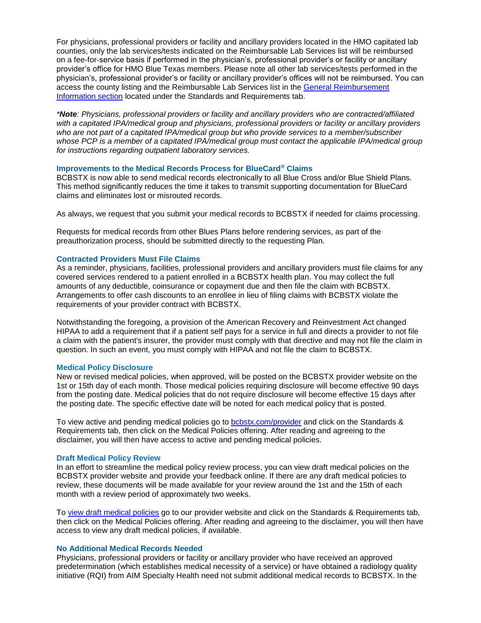For physicians, professional providers or facility and ancillary providers located in the HMO capitated lab counties, only the lab services/tests indicated on the Reimbursable Lab Services list will be reimbursed on a fee-for-service basis if performed in the physician's, professional provider's or facility or ancillary provider's office for HMO Blue Texas members. Please note all other lab services/tests performed in the physician's, professional provider's or facility or ancillary provider's offices will not be reimbursed. You can access the county listing and the Reimbursable Lab Services list in the [General Reimbursement](https://www.bcbstx.com/provider/gri/index.html)  [Information section](https://www.bcbstx.com/provider/gri/index.html) located under the Standards and Requirements tab.

*\*Note: Physicians, professional providers or facility and ancillary providers who are contracted/affiliated with a capitated IPA/medical group and physicians, professional providers or facility or ancillary providers who are not part of a capitated IPA/medical group but who provide services to a member/subscriber whose PCP is a member of a capitated IPA/medical group must contact the applicable IPA/medical group for instructions regarding outpatient laboratory services.*

# **Improvements to the Medical Records Process for BlueCard® Claims**

BCBSTX is now able to send medical records electronically to all Blue Cross and/or Blue Shield Plans. This method significantly reduces the time it takes to transmit supporting documentation for BlueCard claims and eliminates lost or misrouted records.

As always, we request that you submit your medical records to BCBSTX if needed for claims processing.

Requests for medical records from other Blues Plans before rendering services, as part of the preauthorization process, should be submitted directly to the requesting Plan.

#### **Contracted Providers Must File Claims**

As a reminder, physicians, facilities, professional providers and ancillary providers must file claims for any covered services rendered to a patient enrolled in a BCBSTX health plan. You may collect the full amounts of any deductible, coinsurance or copayment due and then file the claim with BCBSTX. Arrangements to offer cash discounts to an enrollee in lieu of filing claims with BCBSTX violate the requirements of your provider contract with BCBSTX.

Notwithstanding the foregoing, a provision of the American Recovery and Reinvestment Act changed HIPAA to add a requirement that if a patient self pays for a service in full and directs a provider to not file a claim with the patient's insurer, the provider must comply with that directive and may not file the claim in question. In such an event, you must comply with HIPAA and not file the claim to BCBSTX.

### **Medical Policy Disclosure**

New or revised medical policies, when approved, will be posted on the BCBSTX provider website on the 1st or 15th day of each month. Those medical policies requiring disclosure will become effective 90 days from the posting date. Medical policies that do not require disclosure will become effective 15 days after the posting date. The specific effective date will be noted for each medical policy that is posted.

To view active and pending medical policies go to [bcbstx.com/provider](https://www.bcbstx.com/provider/index.html) and click on the Standards & Requirements tab, then click on the Medical Policies offering. After reading and agreeing to the disclaimer, you will then have access to active and pending medical policies.

#### **Draft Medical Policy Review**

In an effort to streamline the medical policy review process, you can view draft medical policies on the BCBSTX provider website and provide your feedback online. If there are any draft medical policies to review, these documents will be made available for your review around the 1st and the 15th of each month with a review period of approximately two weeks.

To [view draft medical policies](http://www.medicalpolicy.hcsc.net/medicalpolicy/disclaimer?corpEntCd=TX1) go to our provider website and click on the Standards & Requirements tab, then click on the Medical Policies offering. After reading and agreeing to the disclaimer, you will then have access to view any draft medical policies, if available.

### **No Additional Medical Records Needed**

Physicians, professional providers or facility or ancillary provider who have received an approved predetermination (which establishes medical necessity of a service) or have obtained a radiology quality initiative (RQI) from AIM Specialty Health need not submit additional medical records to BCBSTX. In the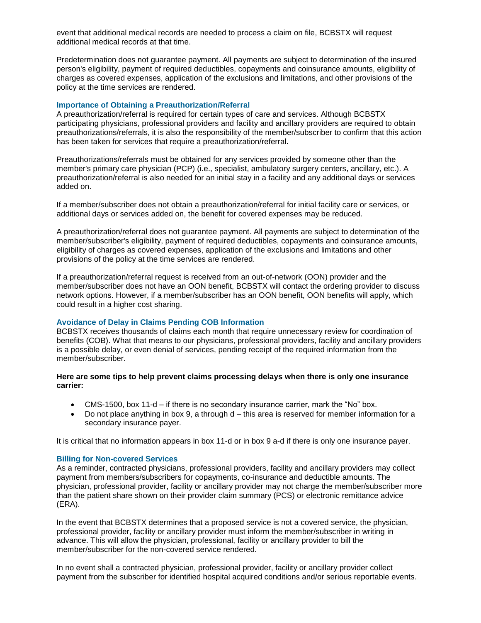event that additional medical records are needed to process a claim on file, BCBSTX will request additional medical records at that time.

Predetermination does not guarantee payment. All payments are subject to determination of the insured person's eligibility, payment of required deductibles, copayments and coinsurance amounts, eligibility of charges as covered expenses, application of the exclusions and limitations, and other provisions of the policy at the time services are rendered.

#### **Importance of Obtaining a Preauthorization/Referral**

A preauthorization/referral is required for certain types of care and services. Although BCBSTX participating physicians, professional providers and facility and ancillary providers are required to obtain preauthorizations/referrals, it is also the responsibility of the member/subscriber to confirm that this action has been taken for services that require a preauthorization/referral.

Preauthorizations/referrals must be obtained for any services provided by someone other than the member's primary care physician (PCP) (i.e., specialist, ambulatory surgery centers, ancillary, etc.). A preauthorization/referral is also needed for an initial stay in a facility and any additional days or services added on.

If a member/subscriber does not obtain a preauthorization/referral for initial facility care or services, or additional days or services added on, the benefit for covered expenses may be reduced.

A preauthorization/referral does not guarantee payment. All payments are subject to determination of the member/subscriber's eligibility, payment of required deductibles, copayments and coinsurance amounts, eligibility of charges as covered expenses, application of the exclusions and limitations and other provisions of the policy at the time services are rendered.

If a preauthorization/referral request is received from an out-of-network (OON) provider and the member/subscriber does not have an OON benefit, BCBSTX will contact the ordering provider to discuss network options. However, if a member/subscriber has an OON benefit, OON benefits will apply, which could result in a higher cost sharing.

### **Avoidance of Delay in Claims Pending COB Information**

BCBSTX receives thousands of claims each month that require unnecessary review for coordination of benefits (COB). What that means to our physicians, professional providers, facility and ancillary providers is a possible delay, or even denial of services, pending receipt of the required information from the member/subscriber.

# **Here are some tips to help prevent claims processing delays when there is only one insurance carrier:**

- CMS-1500, box 11-d if there is no secondary insurance carrier, mark the "No" box.
- $\bullet$  Do not place anything in box 9, a through  $d$  this area is reserved for member information for a secondary insurance payer.

It is critical that no information appears in box 11-d or in box 9 a-d if there is only one insurance payer.

### **Billing for Non-covered Services**

As a reminder, contracted physicians, professional providers, facility and ancillary providers may collect payment from members/subscribers for copayments, co-insurance and deductible amounts. The physician, professional provider, facility or ancillary provider may not charge the member/subscriber more than the patient share shown on their provider claim summary (PCS) or electronic remittance advice (ERA).

In the event that BCBSTX determines that a proposed service is not a covered service, the physician, professional provider, facility or ancillary provider must inform the member/subscriber in writing in advance. This will allow the physician, professional, facility or ancillary provider to bill the member/subscriber for the non-covered service rendered.

In no event shall a contracted physician, professional provider, facility or ancillary provider collect payment from the subscriber for identified hospital acquired conditions and/or serious reportable events.